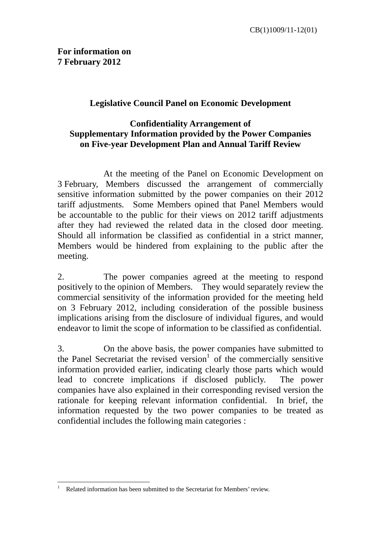## **Legislative Council Panel on Economic Development**

## **Confidentiality Arrangement of Supplementary Information provided by the Power Companies on Five-year Development Plan and Annual Tariff Review**

At the meeting of the Panel on Economic Development on 3 February, Members discussed the arrangement of commercially sensitive information submitted by the power companies on their 2012 tariff adjustments. Some Members opined that Panel Members would be accountable to the public for their views on 2012 tariff adjustments after they had reviewed the related data in the closed door meeting. Should all information be classified as confidential in a strict manner, Members would be hindered from explaining to the public after the meeting.

2. The power companies agreed at the meeting to respond positively to the opinion of Members. They would separately review the commercial sensitivity of the information provided for the meeting held on 3 February 2012, including consideration of the possible business implications arising from the disclosure of individual figures, and would endeavor to limit the scope of information to be classified as confidential.

3. On the above basis, the power companies have submitted to the Panel Secretariat the revised version<sup>1</sup> of the commercially sensitive information provided earlier, indicating clearly those parts which would lead to concrete implications if disclosed publicly. The power companies have also explained in their corresponding revised version the rationale for keeping relevant information confidential. In brief, the information requested by the two power companies to be treated as confidential includes the following main categories :

1

<sup>1</sup> Related information has been submitted to the Secretariat for Members' review.